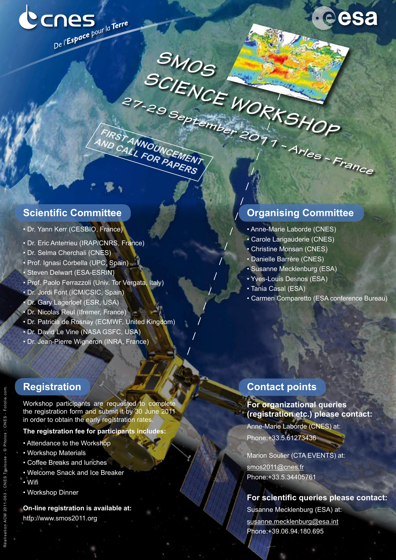

**SMOS**

FIRST ANNOUNCEMENT **and call for papers**

SCIENCE WORKSHOP

**27-29 September 2011 – Arles – France**



### **Scientific Committee**

- Dr. Yann Kerr (CESBIO, France)
- Dr. Eric Anterrieu (IRAP/CNRS, France)
- Dr. Selma Cherchali (CNES)
- Prof. Ignasi Corbella (UPC, Spain)
- Steven Delwart (ESA-ESRIN)
- Prof. Paolo Ferrazzoli (Univ. Tor Vergata, Italy)
- Dr. Jordi Font (ICM/CSIC, Spain)
- Dr. Gary Lagerloef (ESR, USA)
- Dr. Nicolas Reul (Ifremer, France)
- Dr. Patricia de Rosnay (ECMWF, United Kingdom)
- Dr. David Le Vine (NASA GSFC, USA)
- Dr. Jean-Pierre Wigneron (INRA, France)

# **Registration**

Workshop participants are requested to complete the registration form and submit it by 30 June 2011 in order to obtain the early registration rates.

- **The registration fee for participants includes:**
- Attendance to the Workshop
- Workshop Materials
- Coffee Breaks and lunches
- Welcome Snack and Ice Breaker
- Wifi
- Workshop Dinner

**On-line registration is available at:** http://www.smos2011.org

# **Organising Committee**

- Anne-Marie Laborde (CNES)
- Carole Larigauderie (CNES)
- Christine Monsan (CNES)
- Danielle Barrère (CNES)
- Susanne Mecklenburg (ESA)
- Yves-Louis Desnos (ESA)
- Tania Casal (ESA)
- Carmen Comparetto (ESA conference Bureau)

### **Contact points**

**For organizational queries (registration etc.) please contact:** Anne-Marie Laborde (CNES) at: Phone:+33.5.61273436

Marion Soulier (CTA EVENTS) at: smos2011@cnes.fr Phone:+33.5.34405761

#### **For scientific queries please contact:**

Susanne Mecklenburg (ESA) at: susanne.mecklenburg@esa.int Phone:+39.06.94.180.695